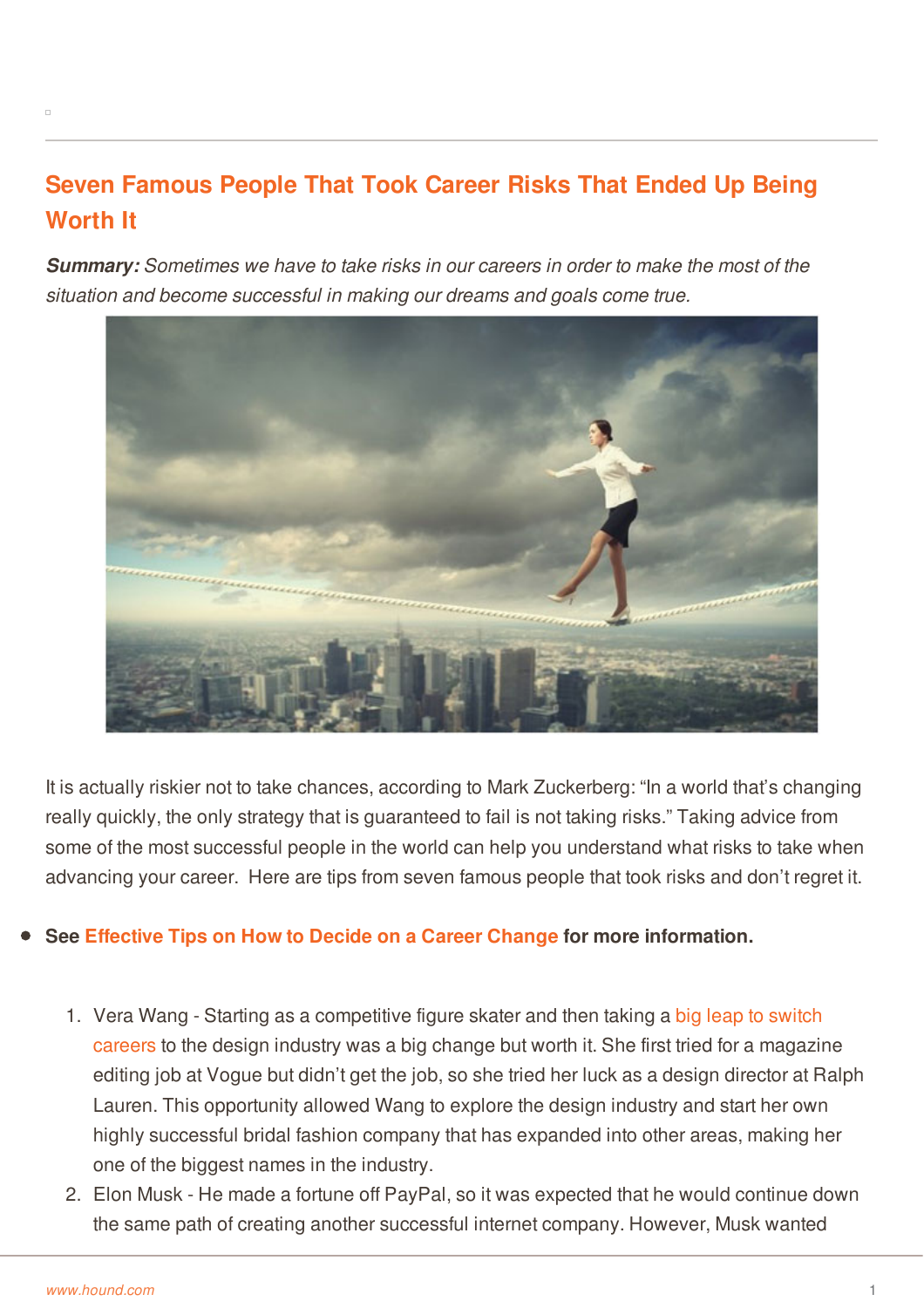## **Seven Famous People That Took Career Risks That Ended Up Being Worth It**

*Summary: Sometimes we have to take risks in our careers in order to make the most of the situation and become successful in making our dreams and goals come true.*



It is actually riskier not to take chances, according to Mark Zuckerberg: "In a world that's changing really quickly, the only strategy that is guaranteed to fail is not taking risks." Taking advice from some of the most successful people in the world can help you understand what risks to take when advancing your career. Here are tips from seven famous people that took risks and don't regret it.

## **See [Effective](http://www.hound.com/article/900044362/Effective-Tips-on-How-to-Decide-On-a-Career-Change/) Tips on How to Decide on a Career Change for more information.**

- 1. Vera Wang Starting as a [competitive](http://www.hound.com/article/900044894/Take-Your-Career-in-a-New-Direction/) figure skater and then taking a big leap to switch careers to the design industry was a big change but worth it. She first tried for a magazine editing job at Vogue but didn't get the job, so she tried her luck as a design director at Ralph Lauren. This opportunity allowed Wang to explore the design industry and start her own [highly](http://www.hound.com/) successful bridal fashion company that has expanded into other areas, making her one of the biggest names in the industry.
- 2. Elon Musk He made a fortune off PayPal, so it was expected that he would continue down the same path of creating another successful internet company. However, Musk wanted